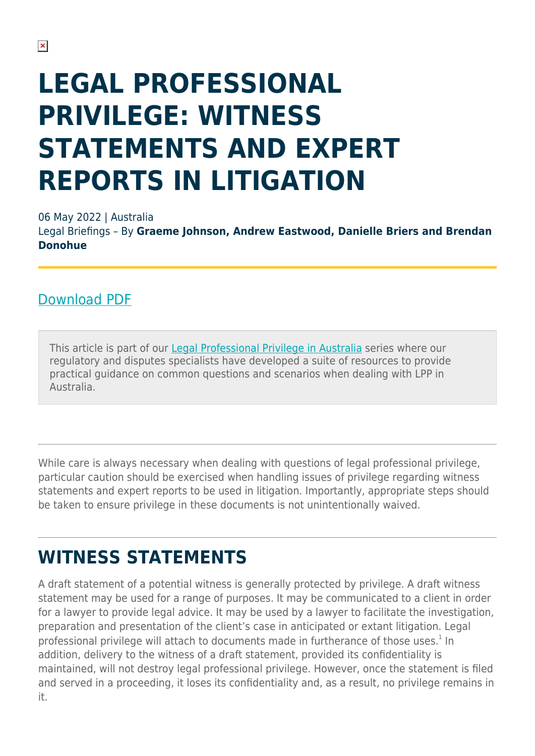# **LEGAL PROFESSIONAL PRIVILEGE: WITNESS STATEMENTS AND EXPERT REPORTS IN LITIGATION**

06 May 2022 | Australia

Legal Briefings – By **Graeme Johnson, Andrew Eastwood, Danielle Briers and Brendan Donohue**

#### [Download PDF](https://www.herbertsmithfreehills.com/sites/contenthub_mothership/files/Legal%20Professional%20Privilege%20Witness%20statements%20and%20expert%20reports%20in%20litigation.pdf)

This article is part of our [Legal Professional Privilege in Australia](http://www.hsf.com/legalprofessionalprivilegeau) series where our regulatory and disputes specialists have developed a suite of resources to provide practical guidance on common questions and scenarios when dealing with LPP in Australia.

While care is always necessary when dealing with questions of legal professional privilege, particular caution should be exercised when handling issues of privilege regarding witness statements and expert reports to be used in litigation. Importantly, appropriate steps should be taken to ensure privilege in these documents is not unintentionally waived.

### **WITNESS STATEMENTS**

A draft statement of a potential witness is generally protected by privilege. A draft witness statement may be used for a range of purposes. It may be communicated to a client in order for a lawyer to provide legal advice. It may be used by a lawyer to facilitate the investigation, preparation and presentation of the client's case in anticipated or extant litigation. Legal professional privilege will attach to documents made in furtherance of those uses. $^1$  In addition, delivery to the witness of a draft statement, provided its confidentiality is maintained, will not destroy legal professional privilege. However, once the statement is filed and served in a proceeding, it loses its confidentiality and, as a result, no privilege remains in it.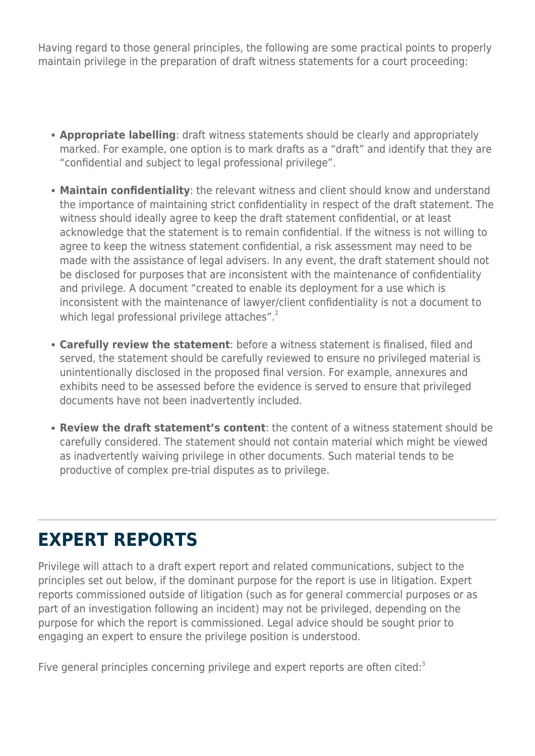Having regard to those general principles, the following are some practical points to properly maintain privilege in the preparation of draft witness statements for a court proceeding:

- **Appropriate labelling**: draft witness statements should be clearly and appropriately marked. For example, one option is to mark drafts as a "draft" and identify that they are "confidential and subject to legal professional privilege".
- **Maintain confidentiality**: the relevant witness and client should know and understand the importance of maintaining strict confidentiality in respect of the draft statement. The witness should ideally agree to keep the draft statement confidential, or at least acknowledge that the statement is to remain confidential. If the witness is not willing to agree to keep the witness statement confidential, a risk assessment may need to be made with the assistance of legal advisers. In any event, the draft statement should not be disclosed for purposes that are inconsistent with the maintenance of confidentiality and privilege. A document "created to enable its deployment for a use which is inconsistent with the maintenance of lawyer/client confidentiality is not a document to which legal professional privilege attaches".<sup>2</sup>
- **Carefully review the statement**: before a witness statement is finalised, filed and served, the statement should be carefully reviewed to ensure no privileged material is unintentionally disclosed in the proposed final version. For example, annexures and exhibits need to be assessed before the evidence is served to ensure that privileged documents have not been inadvertently included.
- **Review the draft statement's content**: the content of a witness statement should be carefully considered. The statement should not contain material which might be viewed as inadvertently waiving privilege in other documents. Such material tends to be productive of complex pre-trial disputes as to privilege.

#### **EXPERT REPORTS**

Privilege will attach to a draft expert report and related communications, subject to the principles set out below, if the dominant purpose for the report is use in litigation. Expert reports commissioned outside of litigation (such as for general commercial purposes or as part of an investigation following an incident) may not be privileged, depending on the purpose for which the report is commissioned. Legal advice should be sought prior to engaging an expert to ensure the privilege position is understood.

Five general principles concerning privilege and expert reports are often cited: $3$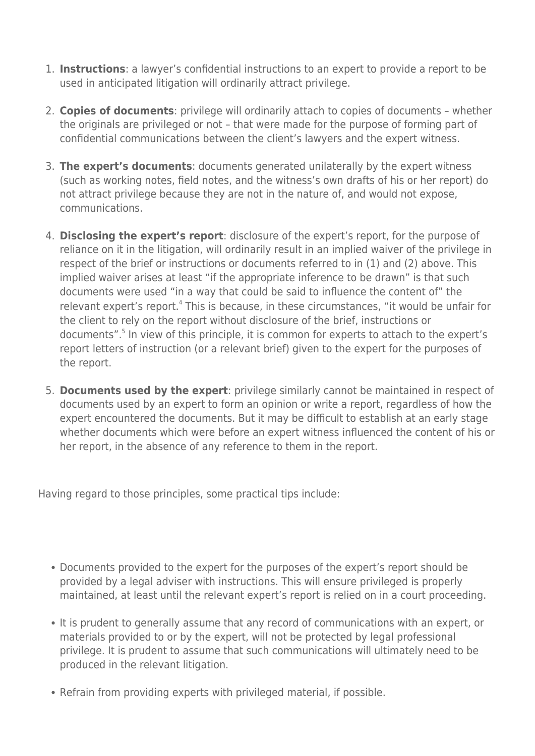- 1. **Instructions**: a lawyer's confidential instructions to an expert to provide a report to be used in anticipated litigation will ordinarily attract privilege.
- 2. **Copies of documents**: privilege will ordinarily attach to copies of documents whether the originals are privileged or not – that were made for the purpose of forming part of confidential communications between the client's lawyers and the expert witness.
- 3. **The expert's documents**: documents generated unilaterally by the expert witness (such as working notes, field notes, and the witness's own drafts of his or her report) do not attract privilege because they are not in the nature of, and would not expose, communications.
- 4. **Disclosing the expert's report**: disclosure of the expert's report, for the purpose of reliance on it in the litigation, will ordinarily result in an implied waiver of the privilege in respect of the brief or instructions or documents referred to in (1) and (2) above. This implied waiver arises at least "if the appropriate inference to be drawn" is that such documents were used "in a way that could be said to influence the content of" the relevant expert's report.<sup>4</sup> This is because, in these circumstances, "it would be unfair for the client to rely on the report without disclosure of the brief, instructions or documents".<sup>5</sup> In view of this principle, it is common for experts to attach to the expert's report letters of instruction (or a relevant brief) given to the expert for the purposes of the report.
- 5. **Documents used by the expert**: privilege similarly cannot be maintained in respect of documents used by an expert to form an opinion or write a report, regardless of how the expert encountered the documents. But it may be difficult to establish at an early stage whether documents which were before an expert witness influenced the content of his or her report, in the absence of any reference to them in the report.

Having regard to those principles, some practical tips include:

- Documents provided to the expert for the purposes of the expert's report should be provided by a legal adviser with instructions. This will ensure privileged is properly maintained, at least until the relevant expert's report is relied on in a court proceeding.
- It is prudent to generally assume that any record of communications with an expert, or materials provided to or by the expert, will not be protected by legal professional privilege. It is prudent to assume that such communications will ultimately need to be produced in the relevant litigation.
- Refrain from providing experts with privileged material, if possible.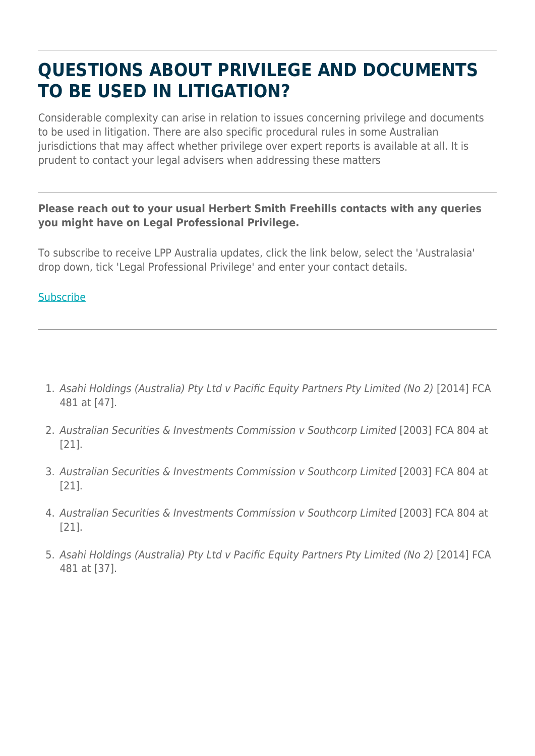### **QUESTIONS ABOUT PRIVILEGE AND DOCUMENTS TO BE USED IN LITIGATION?**

Considerable complexity can arise in relation to issues concerning privilege and documents to be used in litigation. There are also specific procedural rules in some Australian jurisdictions that may affect whether privilege over expert reports is available at all. It is prudent to contact your legal advisers when addressing these matters

#### **Please reach out to your usual Herbert Smith Freehills contacts with any queries you might have on Legal Professional Privilege.**

To subscribe to receive LPP Australia updates, click the link below, select the 'Australasia' drop down, tick 'Legal Professional Privilege' and enter your contact details.

#### **[Subscribe](https://sites-herbertsmithfreehills.vuturevx.com/18/14587/landing-pages/subscribe.asp)**

- 1. Asahi Holdings (Australia) Pty Ltd v Pacific Equity Partners Pty Limited (No 2) [2014] FCA 481 at [47].
- 2. Australian Securities & Investments Commission v Southcorp Limited [2003] FCA 804 at [21].
- 3. Australian Securities & Investments Commission v Southcorp Limited [2003] FCA 804 at [21].
- 4. Australian Securities & Investments Commission v Southcorp Limited [2003] FCA 804 at [21].
- 5. Asahi Holdings (Australia) Pty Ltd v Pacific Equity Partners Pty Limited (No 2) [2014] FCA 481 at [37].